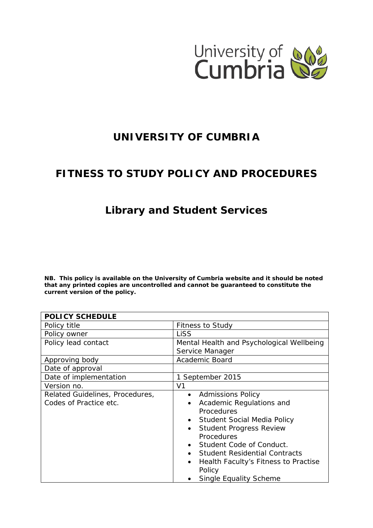

# **UNIVERSITY OF CUMBRIA**

# **FITNESS TO STUDY POLICY AND PROCEDURES**

# **Library and Student Services**

*NB. This policy is available on the University of Cumbria website and it should be noted that any printed copies are uncontrolled and cannot be guaranteed to constitute the current version of the policy.*

| <b>POLICY SCHEDULE</b>                                    |                                                                                                                                                                                                                                                                                                                                                                                              |  |
|-----------------------------------------------------------|----------------------------------------------------------------------------------------------------------------------------------------------------------------------------------------------------------------------------------------------------------------------------------------------------------------------------------------------------------------------------------------------|--|
| Policy title                                              | <b>Fitness to Study</b>                                                                                                                                                                                                                                                                                                                                                                      |  |
| Policy owner                                              | LiSS                                                                                                                                                                                                                                                                                                                                                                                         |  |
| Policy lead contact                                       | Mental Health and Psychological Wellbeing                                                                                                                                                                                                                                                                                                                                                    |  |
|                                                           | Service Manager                                                                                                                                                                                                                                                                                                                                                                              |  |
| Approving body                                            | Academic Board                                                                                                                                                                                                                                                                                                                                                                               |  |
| Date of approval                                          |                                                                                                                                                                                                                                                                                                                                                                                              |  |
| Date of implementation                                    | 1 September 2015                                                                                                                                                                                                                                                                                                                                                                             |  |
| Version no.                                               | V <sub>1</sub>                                                                                                                                                                                                                                                                                                                                                                               |  |
| Related Guidelines, Procedures,<br>Codes of Practice etc. | <b>Admissions Policy</b><br>$\bullet$<br>Academic Regulations and<br>$\bullet$<br>Procedures<br>Student Social Media Policy<br>$\bullet$<br><b>Student Progress Review</b><br>$\bullet$<br>Procedures<br>Student Code of Conduct.<br>$\bullet$<br><b>Student Residential Contracts</b><br>$\bullet$<br>Health Faculty's Fitness to Practise<br>$\bullet$<br>Policy<br>Single Equality Scheme |  |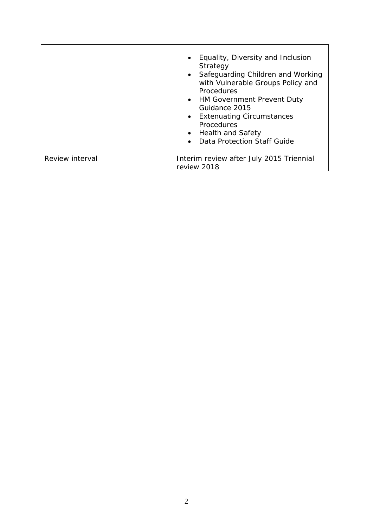|                 | Equality, Diversity and Inclusion<br>$\bullet$<br>Strategy<br>• Safeguarding Children and Working<br>with Vulnerable Groups Policy and<br>Procedures<br>• HM Government Prevent Duty<br>Guidance 2015<br>• Extenuating Circumstances<br>Procedures<br>• Health and Safety<br>Data Protection Staff Guide |
|-----------------|----------------------------------------------------------------------------------------------------------------------------------------------------------------------------------------------------------------------------------------------------------------------------------------------------------|
| Review interval | Interim review after July 2015 Triennial<br>review 2018                                                                                                                                                                                                                                                  |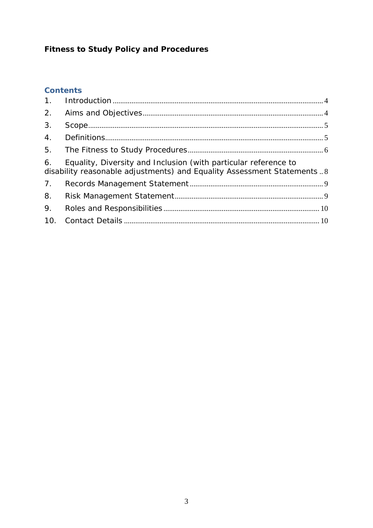# **Fitness to Study Policy and Procedures**

### **Contents**

| 2.             |                                                                                                                                             |  |
|----------------|---------------------------------------------------------------------------------------------------------------------------------------------|--|
| 3.             |                                                                                                                                             |  |
| 4.             |                                                                                                                                             |  |
|                |                                                                                                                                             |  |
| 6.             | Equality, Diversity and Inclusion (with particular reference to<br>disability reasonable adjustments) and Equality Assessment Statements  8 |  |
| 7 <sub>1</sub> |                                                                                                                                             |  |
| 8.             |                                                                                                                                             |  |
| 9.             |                                                                                                                                             |  |
|                |                                                                                                                                             |  |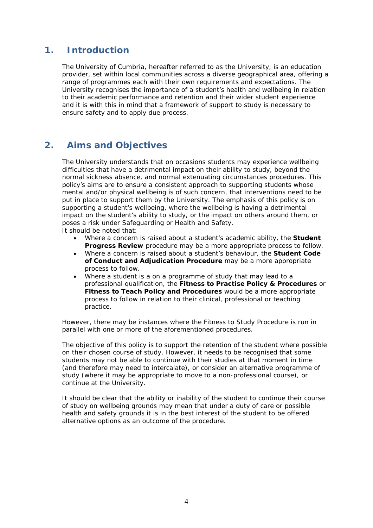### <span id="page-3-0"></span>**1. Introduction**

The University of Cumbria, hereafter referred to as the University, is an education provider, set within local communities across a diverse geographical area, offering a range of programmes each with their own requirements and expectations. The University recognises the importance of a student's health and wellbeing in relation to their academic performance and retention and their wider student experience and it is with this in mind that a framework of support to study is necessary to ensure safety and to apply due process.

### <span id="page-3-1"></span>**2. Aims and Objectives**

The University understands that on occasions students may experience wellbeing difficulties that have a detrimental impact on their ability to study, beyond the normal sickness absence, and normal extenuating circumstances procedures. This policy's aims are to ensure a consistent approach to supporting students whose mental and/or physical wellbeing is of such concern, that interventions need to be put in place to support them by the University. The emphasis of this policy is on supporting a student's wellbeing, where the wellbeing is having a detrimental impact on the student's ability to study, or the impact on others around them, or poses a risk under Safeguarding or Health and Safety. It should be noted that:

- Where a concern is raised about a student's academic ability, the **Student Progress Review** procedure may be a more appropriate process to follow.
- Where a concern is raised about a student's behaviour, the **Student Code of Conduct and Adjudication Procedure** may be a more appropriate process to follow.
- Where a student is a on a programme of study that may lead to a professional qualification, the **Fitness to Practise Policy & Procedures** or **Fitness to Teach Policy and Procedures** would be a more appropriate process to follow in relation to their clinical, professional or teaching practice.

However, there may be instances where the Fitness to Study Procedure is run in parallel with one or more of the aforementioned procedures.

The objective of this policy is to support the retention of the student where possible on their chosen course of study. However, it needs to be recognised that some students may not be able to continue with their studies at that moment in time (and therefore may need to intercalate), or consider an alternative programme of study (where it may be appropriate to move to a non-professional course), or continue at the University.

It should be clear that the ability or inability of the student to continue their course of study on wellbeing grounds may mean that under a duty of care or possible health and safety grounds it is in the best interest of the student to be offered alternative options as an outcome of the procedure.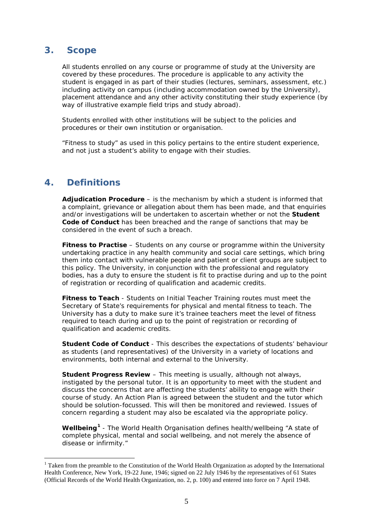### <span id="page-4-0"></span>**3. Scope**

All students enrolled on any course or programme of study at the University are covered by these procedures. The procedure is applicable to any activity the student is engaged in as part of their studies (lectures, seminars, assessment, etc.) including activity on campus (including accommodation owned by the University), placement attendance and any other activity constituting their study experience (by way of illustrative example field trips and study abroad).

Students enrolled with other institutions will be subject to the policies and procedures or their own institution or organisation.

"Fitness to study" as used in this policy pertains to the entire student experience, and not just a student's ability to engage with their studies.

### <span id="page-4-1"></span>**4. Definitions**

-

**Adjudication Procedure** – is the mechanism by which a student is informed that a complaint, grievance or allegation about them has been made, and that enquiries and/or investigations will be undertaken to ascertain whether or not the **Student Code of Conduct** has been breached and the range of sanctions that may be considered in the event of such a breach.

**Fitness to Practise** – Students on any course or programme within the University undertaking practice in any health community and social care settings, which bring them into contact with vulnerable people and patient or client groups are subject to this policy. The University, in conjunction with the professional and regulatory bodies, has a duty to ensure the student is fit to practise during and up to the point of registration or recording of qualification and academic credits.

**Fitness to Teach** - Students on Initial Teacher Training routes must meet the Secretary of State's requirements for physical and mental fitness to teach. The University has a duty to make sure it's trainee teachers meet the level of fitness required to teach during and up to the point of registration or recording of qualification and academic credits.

**Student Code of Conduct** - This describes the expectations of students' behaviour as students (and representatives) of the University in a variety of locations and environments, both internal and external to the University.

**Student Progress Review** – This meeting is usually, although not always, instigated by the personal tutor. It is an opportunity to meet with the student and discuss the concerns that are affecting the students' ability to engage with their course of study. An Action Plan is agreed between the student and the tutor which should be solution-focussed. This will then be monitored and reviewed. Issues of concern regarding a student may also be escalated via the appropriate policy.

**Wellbeing[1](#page-4-2)** - The World Health Organisation defines health/wellbeing *"A state of complete physical, mental and social wellbeing, and not merely the absence of disease or infirmity."* 

<span id="page-4-2"></span><sup>&</sup>lt;sup>1</sup> Taken from the preamble to the Constitution of the World Health Organization as adopted by the International Health Conference, New York, 19-22 June, 1946; signed on 22 July 1946 by the representatives of 61 States (Official Records of the World Health Organization, no. 2, p. 100) and entered into force on 7 April 1948.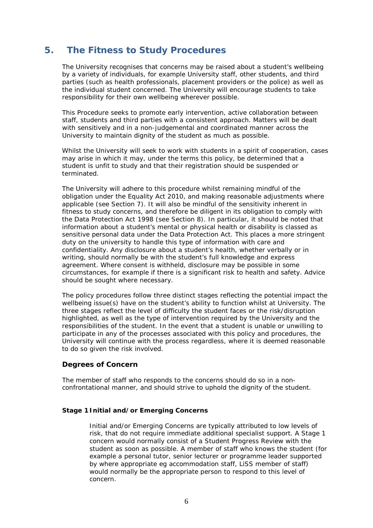### <span id="page-5-0"></span>**5. The Fitness to Study Procedures**

The University recognises that concerns may be raised about a student's wellbeing by a variety of individuals, for example University staff, other students, and third parties (such as health professionals, placement providers or the police) as well as the individual student concerned. The University will encourage students to take responsibility for their own wellbeing wherever possible.

This Procedure seeks to promote early intervention, active collaboration between staff, students and third parties with a consistent approach. Matters will be dealt with sensitively and in a non-judgemental and coordinated manner across the University to maintain dignity of the student as much as possible.

Whilst the University will seek to work with students in a spirit of cooperation, cases may arise in which it may, under the terms this policy, be determined that a student is unfit to study and that their registration should be suspended or terminated.

The University will adhere to this procedure whilst remaining mindful of the obligation under the Equality Act 2010, and making reasonable adjustments where applicable (see Section 7). It will also be mindful of the sensitivity inherent in fitness to study concerns, and therefore be diligent in its obligation to comply with the Data Protection Act 1998 (see Section 8). In particular, it should be noted that information about a student's mental or physical health or disability is classed as sensitive personal data under the Data Protection Act. This places a more stringent duty on the university to handle this type of information with care and confidentiality. Any disclosure about a student's health, whether verbally or in writing, should normally be with the student's full knowledge and express agreement. Where consent is withheld, disclosure may be possible in some circumstances, for example if there is a significant risk to health and safety. Advice should be sought where necessary.

The policy procedures follow three distinct stages reflecting the potential impact the wellbeing issue(s) have on the student's ability to function whilst at University. The three stages reflect the level of difficulty the student faces or the risk/disruption highlighted, as well as the type of intervention required by the University and the responsibilities of the student. In the event that a student is unable or unwilling to participate in any of the processes associated with this policy and procedures, the University will continue with the process regardless, where it is deemed reasonable to do so given the risk involved.

### *Degrees of Concern*

The member of staff who responds to the concerns should do so in a nonconfrontational manner, and should strive to uphold the dignity of the student.

### **Stage 1Initial and/or Emerging Concerns**

Initial and/or Emerging Concerns are typically attributed to low levels of risk, that do not require immediate additional specialist support. A Stage 1 concern would normally consist of a Student Progress Review with the student as soon as possible. A member of staff who knows the student (for example a personal tutor, senior lecturer or programme leader supported by where appropriate eg accommodation staff, LiSS member of staff) would normally be the appropriate person to respond to this level of concern.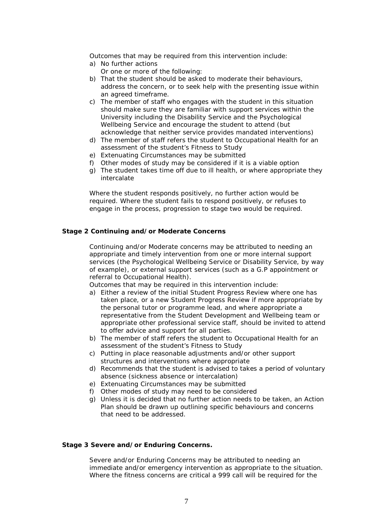Outcomes that may be required from this intervention include:

- a) No further actions
	- Or one or more of the following:
- b) That the student should be asked to moderate their behaviours, address the concern, or to seek help with the presenting issue within an agreed timeframe.
- c) The member of staff who engages with the student in this situation should make sure they are familiar with support services within the University including the Disability Service and the Psychological Wellbeing Service and encourage the student to attend (but acknowledge that neither service provides mandated interventions)
- d) The member of staff refers the student to Occupational Health for an assessment of the student's Fitness to Study
- e) Extenuating Circumstances may be submitted
- f) Other modes of study may be considered if it is a viable option
- g) The student takes time off due to ill health, or where appropriate they intercalate

Where the student responds positively, no further action would be required. Where the student fails to respond positively, or refuses to engage in the process, progression to stage two would be required.

#### **Stage 2 Continuing and/or Moderate Concerns**

Continuing and/or Moderate concerns may be attributed to needing an appropriate and timely intervention from one or more internal support services (the Psychological Wellbeing Service or Disability Service, by way of example), or external support services (such as a G.P appointment or referral to Occupational Health).

Outcomes that may be required in this intervention include:

- a) Either a review of the initial Student Progress Review where one has taken place, or a new Student Progress Review if more appropriate by the personal tutor or programme lead, and where appropriate a representative from the Student Development and Wellbeing team or appropriate other professional service staff, should be invited to attend to offer advice and support for all parties.
- b) The member of staff refers the student to Occupational Health for an assessment of the student's Fitness to Study
- c) Putting in place reasonable adjustments and/or other support structures and interventions where appropriate
- d) Recommends that the student is advised to takes a period of voluntary absence (sickness absence or intercalation)
- e) Extenuating Circumstances may be submitted
- f) Other modes of study may need to be considered
- g) Unless it is decided that no further action needs to be taken, an Action Plan should be drawn up outlining specific behaviours and concerns that need to be addressed.

#### **Stage 3 Severe and/or Enduring Concerns.**

Severe and/or Enduring Concerns may be attributed to needing an immediate and/or emergency intervention as appropriate to the situation. Where the fitness concerns are critical a 999 call will be required for the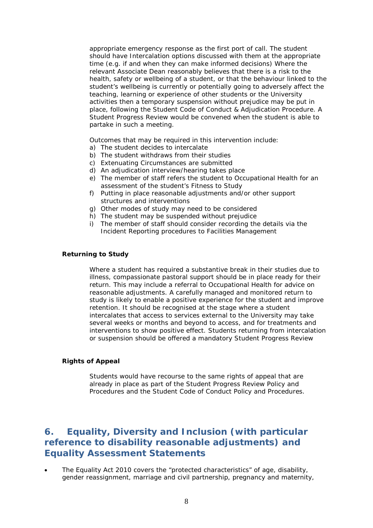appropriate emergency response as the first port of call. The student should have Intercalation options discussed with them at the appropriate time (e.g. if and when they can make informed decisions) Where the relevant Associate Dean reasonably believes that there is a risk to the health, safety or wellbeing of a student, or that the behaviour linked to the student's wellbeing is currently or potentially going to adversely affect the teaching, learning or experience of other students or the University activities then a temporary suspension without prejudice may be put in place, following the Student Code of Conduct & Adjudication Procedure. A Student Progress Review would be convened when the student is able to partake in such a meeting.

Outcomes that may be required in this intervention include:

- a) The student decides to intercalate
- b) The student withdraws from their studies
- c) Extenuating Circumstances are submitted
- d) An adjudication interview/hearing takes place
- e) The member of staff refers the student to Occupational Health for an assessment of the student's Fitness to Study
- f) Putting in place reasonable adjustments and/or other support structures and interventions
- g) Other modes of study may need to be considered
- h) The student may be suspended without prejudice
- i) The member of staff should consider recording the details via the Incident Reporting procedures to Facilities Management

#### **Returning to Study**

Where a student has required a substantive break in their studies due to illness, compassionate pastoral support should be in place ready for their return. This may include a referral to Occupational Health for advice on reasonable adjustments. A carefully managed and monitored return to study is likely to enable a positive experience for the student and improve retention. It should be recognised at the stage where a student intercalates that access to services external to the University may take several weeks or months and beyond to access, and for treatments and interventions to show positive effect. Students returning from intercalation or suspension should be offered a mandatory Student Progress Review

#### **Rights of Appeal**

Students would have recourse to the same rights of appeal that are already in place as part of the Student Progress Review Policy and Procedures and the Student Code of Conduct Policy and Procedures.

### <span id="page-7-0"></span>**6. Equality, Diversity and Inclusion (with particular reference to disability reasonable adjustments) and Equality Assessment Statements**

• The Equality Act 2010 covers the "protected characteristics" of age, disability, gender reassignment, marriage and civil partnership, pregnancy and maternity,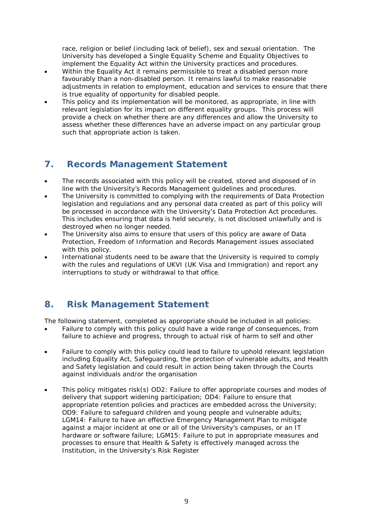race, religion or belief (including lack of belief), sex and sexual orientation. The University has developed a Single Equality Scheme and Equality Objectives to implement the Equality Act within the University practices and procedures.

- Within the Equality Act it remains permissible to treat a disabled person more favourably than a non-disabled person. It remains lawful to make reasonable adjustments in relation to employment, education and services to ensure that there is true equality of opportunity for disabled people.
- This policy and its implementation will be monitored, as appropriate, in line with relevant legislation for its impact on different equality groups. This process will provide a check on whether there are any differences and allow the University to assess whether these differences have an adverse impact on any particular group such that appropriate action is taken.

## <span id="page-8-0"></span>**7. Records Management Statement**

- The records associated with this policy will be created, stored and disposed of in line with the University's Records Management guidelines and procedures.
- The University is committed to complying with the requirements of Data Protection legislation and regulations and any personal data created as part of this policy will be processed in accordance with the University's Data Protection Act procedures. This includes ensuring that data is held securely, is not disclosed unlawfully and is destroyed when no longer needed.
- The University also aims to ensure that users of this policy are aware of Data Protection, Freedom of Information and Records Management issues associated with this policy.
- International students need to be aware that the University is required to comply with the rules and regulations of UKVI (UK Visa and Immigration) and report any interruptions to study or withdrawal to that office.

## <span id="page-8-1"></span>**8. Risk Management Statement**

The following statement, completed as appropriate should be included in all policies:

- Failure to comply with this policy could have a wide range of consequences, from failure to achieve and progress, through to actual risk of harm to self and other
- Failure to comply with this policy could lead to failure to uphold relevant legislation including Equality Act, Safeguarding, the protection of vulnerable adults, and Health and Safety legislation and could result in action being taken through the Courts against individuals and/or the organisation
- This policy mitigates risk(s) OD2: Failure to offer appropriate courses and modes of delivery that support widening participation; OD4: Failure to ensure that appropriate retention policies and practices are embedded across the University; OD9: Failure to safeguard children and young people and vulnerable adults; LGM14: Failure to have an effective Emergency Management Plan to mitigate against a major incident at one or all of the University's campuses, or an IT hardware or software failure; LGM15: Failure to put in appropriate measures and processes to ensure that Health & Safety is effectively managed across the Institution, in the University's Risk Register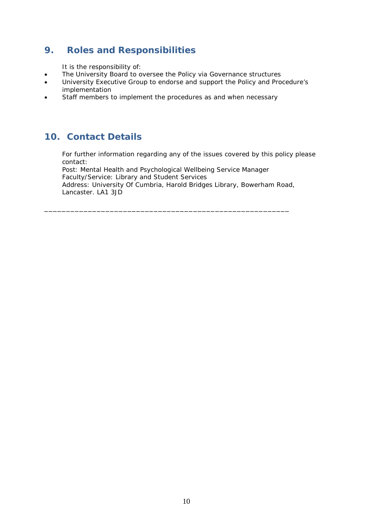## <span id="page-9-0"></span>**9. Roles and Responsibilities**

It is the responsibility of:

- The University Board to oversee the Policy via Governance structures
- University Executive Group to endorse and support the Policy and Procedure's implementation
- Staff members to implement the procedures as and when necessary

*\_\_\_\_\_\_\_\_\_\_\_\_\_\_\_\_\_\_\_\_\_\_\_\_\_\_\_\_\_\_\_\_\_\_\_\_\_\_\_\_\_\_\_\_\_\_\_\_\_\_\_\_\_\_\_\_*

## <span id="page-9-1"></span>**10. Contact Details**

For further information regarding any of the issues covered by this policy please contact: Post: Mental Health and Psychological Wellbeing Service Manager Faculty/Service: Library and Student Services Address: University Of Cumbria, Harold Bridges Library, Bowerham Road, Lancaster. LA1 3JD